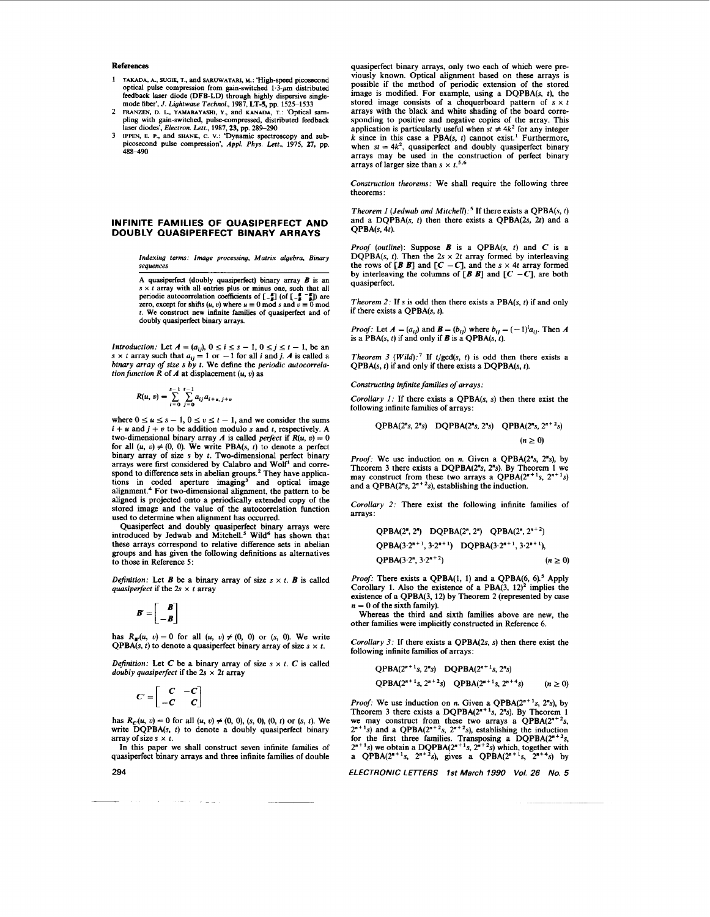- **1 TAKADA, A., SUO% T.,** axid **SARUWATARI, M.:** 'High-speed picosecond optical pulse compression from gain-switched **1.3-pm** distributed feedback laser diode (DFB-LD) through highly dispersive singlemode **fiber',** *J. Lightwave Technol.,* **1987, LT-5,** pp. **152S1533**
- 2 FRANZEN, D. L., YAMABAYASHI, Y., and **KANADA**, T.: 'Optical sam-<br>pling with gain-switched, pulse-compressed, distributed feedback
- laser diodes', *Electron. Lett.*, 1987, 23, pp. 289–290<br>3 IPPEN, E. P., and SHANK, C. V.: 'Dynamic spectroscopy and sub-<br>picosecond pulse compression', Appl. Phys. Lett., 1975, 27, pp. **k88-490**

## **INFINITE FAMILIES OF QUASIPERFECT AND DOUBLY QUASIPERFECT BINARY ARRAYS**

*Indexing terms: Image processing, Matrix algebra, Binary sequences* 

**A** quasiperfect (doubly quasiperfect) binary array *B* is an s x t array with all entries plus or minus one, such that all periodic autocorrelation coefficients of  $\begin{bmatrix} \n\bullet \\
\bullet\n\end{bmatrix}$  (of  $\begin{bmatrix} \bullet \\
\bullet\n\end{bmatrix}$ ) are zero, except for shifts  $(u, v)$  where  $u \equiv 0$  mod s and  $v \equiv 0$  mo *t.* We construct new infinite families of quasiperfect and of doubly quasiperfect binary arrays.

Introduction: Let  $A = (a_{ij})$ ,  $0 \le i \le s - 1$ ,  $0 \le j \le t - 1$ , be an  $s \times t$  array such that  $a_{ij} = 1$  or  $-1$  for all *i* and *j*. *A* is called a binary array of size s by *t*. We define the periodic autocorrela*tion function R* of *A* at displacement  $(u, v)$  as

$$
R(u, v) = \sum_{i=0}^{s-1} \sum_{j=0}^{t-1} a_{ij} a_{i+u, j+v}
$$

 $K(u, v) = \sum_{i=0}^{n} \sum_{j=0} a_{ij} a_{i+u, j+v}$ <br>where  $0 \le u \le s - 1, 0 \le v \le t - 1$ , and we consider the sums  $i + u$  and  $j + v$  to be addition modulo *s* and *t*, respectively. A two-dimensional binary array A is called *perfect* if  $R(u, v) = 0$ for all  $(u, v) \neq (0, 0)$ . We write PBA(s, t) to denote a perfect binary array of size **s** by *t.* Two-dimensional perfect binary arrays were first considered by Calabro and Wolf' and correspond to difference sets in abelian groups.<sup>2</sup> They have applications in coded aperture imaging<sup>3</sup> and optical image alignment.<sup>4</sup> For two-dimensional alignment, the pattern to be aligned is projected onto a periodically extended copy of the stored image and the value of the autocorrelation function used to determine when alignment has occurred.

Quasiperfect and doubly quasiperfect binary arrays were introduced by Jedwab and Mitchell.<sup>5</sup> Wild<sup>6</sup> has shown that these arrays correspond to relative difference sets in abelian groups and has given the following definitions **as** alternatives to those in Reference *5:* 

*Definition:* Let *B* be a binary array of *size*  $s \times t$ . *B* is called *quasiperfeet* if the *2s* x t array

$$
B'=\begin{bmatrix} B \\ -B \end{bmatrix}
$$

has  $R_{\text{m}}(u, v) = 0$  for all  $(u, v) \neq (0, 0)$  or  $(s, 0)$ . We write **QPBA(s, t)** to denote a quasiperfect binary array of size  $s \times t$ .

*Definition:* Let *C* be a binary array of size  $s \times t$ . *C* is called *doubly quasiperfect* if the  $2s \times 2t$  array

$$
C' = \begin{bmatrix} C & -C \\ -C & C \end{bmatrix}
$$

has  $R_c(u, v) = 0$  for all  $(u, v) \neq (0, 0)$ ,  $(s, 0)$ ,  $(0, t)$  or  $(s, t)$ . We write **DQPBA(s,** t) to denote a doubly quasiperfect binary array of size  $s \times t$ .

In this paper we shall construct seven infinite families of quasiperfect binary arrays and three infinite families of double

 $\sim$  100  $\sim$ 

quasiperfect binary arrays, only two each of which were previously known. Optical alignment based on these arrays is possible if the method of periodic extension of the stored image is modified. For example, using a **DQPBA(s,** t), the stored image consists of a chequerboard pattern of  $s \times t$ arrays with the black and white shading of the board corresponding to positive and negative copies of the array. This application is particularly useful when  $st \neq 4k^2$  for any integer  $k$  since in this case a PBA(s,  $t$ ) cannot exist.<sup>1</sup> Furthermore, when  $st = 4k^2$ , quasiperfect and doubly quasiperfect binary arrays may be used in the construction of perfect binary arrays of larger size than  $s \times t^{5.6}$ 

*Construction theorems:* We shall require the following three theorems :

*Theorem 1 (Jedwab and Mit~hel[):~* If there exists a **QPBA(s,** t) and a **DQPBA(s,** t) then there exists a **QPBA(2s, 2t)** and a **QPBA(s, 4t).** 

*Proof (outline):* Suppose *B* is a **QPBA(s,** t) and **C** is a **DQPBA(s, t). Then the**  $2s \times 2t$  **array formed by interleaving** the rows of  $[B \ B]$  and  $[C - C]$ , and the  $s \times 4t$  array formed by interleaving the columns of  $[B \ B]$  and  $[C -C]$ , are both quasiperfect.

*Theorem 2:* If s is odd then there exists a  $PBA(s, t)$  if and only if there exists a **QPBA(s,** t).

*Proof:* Let  $A = (a_{ij})$  and  $B = (b_{ij})$  where  $b_{ij} = (-1)^i a_{ij}$ . Then A is a  $PBA(s, t)$  if and only if *B* is a  $QPBA(s, t)$ .

*Theorem 3 (Wild):*<sup>7</sup> If  $t/gcd(s, t)$  is odd then there exists a **QPBA(s,** t) if and only if there exists a **DQPBA(s,** *t).* 

*Constructing infinite families of arrays:* 

*Corollary I:* If there exists a **QPBA(s, s)** then there exist the following infinite families of arrays:

$$
QPBA(2^ns, 2^ns) \quad DQPBA(2^ns, 2^ns) \quad QPBA(2^ns, 2^{n+2}s) (n \ge 0)
$$

*Proof:* We use induction on *n.* Given a **QPBA(2"s. 2"s),** by Theorem **3** there exists a **DQPBA(2"s, 2"s).** By Theorem **1** we may construct from these two arrays a  $QPBA(2^{n+1}s, 2^{n+1}s)$  and a  $QPBA(2^ns, 2^{n+2}s)$ , establishing the induction.

*Corollary* 2: There exist the following infinite families of arrays:

$$
QPBA(2^n, 2^n) DQPBA(2^n, 2^n) QPBA(2^n, 2^{n+2})
$$
  
QPBA(3·2<sup>n+1</sup>, 3·2<sup>n+1</sup>) DQPBA(3·2<sup>n+1</sup>, 3·2<sup>n+1</sup>),  
QPBA(3·2<sup>n</sup>, 3·2<sup>n+2</sup>) (*n* ≥ 0)

*Proof:* There exists a **QPBA(1, 1)** and a **QPBA(6, 6).5** Apply Corollary **1.** Also the existence of a **PBA(3, 12)'** implies the existence of a **QPBA(3, 12)** by Theorem **2** (represented by case  $n = 0$  of the sixth family).

Whereas the third and sixth families above are new, the other families were implicitly constructed in Reference **6.** 

*Corollary* 3: If there exists a **QPBA(2s, s)** then there exist the following infinite families of arrays:

$$
QPBA(2^{n+1}s, 2^ns) \quad DQPBA(2^{n+1}s, 2^ns)
$$

$$
QPBA(2^{n+1}s, 2^{n+2}s) \quad QPBA(2^{n+1}s, 2^{n+4}s) \qquad (n \ge 0)
$$

*Proof:* We use induction on *n*. Given a  $QPBA(2^{n+1}s, 2^ns)$ , by Theorem 1 *n* we may construct from these two arrays a QPBA( $2^{n+2}s$ ,  $2^{n+1}s$ ) and a QPBA( $2^{n+2}s$ ,  $2^{n+2}s$ ), establishing the induction for the first three families. Transposing a DQPBA( $2^{n+1}s$ ,  $2^{n+2}s$ ) which, together with a QPB

*ELECTRONIC LETTERS 1st March 1990 Vol. 26 No. 5* 

**294**